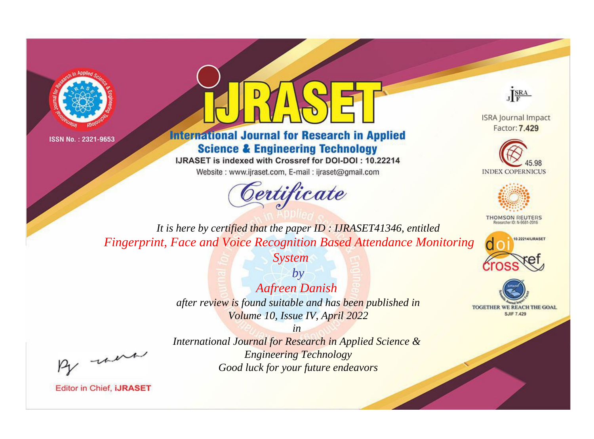



# **International Journal for Research in Applied Science & Engineering Technology**

IJRASET is indexed with Crossref for DOI-DOI: 10.22214

Website: www.ijraset.com, E-mail: ijraset@gmail.com



JERA

**ISRA Journal Impact** Factor: 7.429





**THOMSON REUTERS** 



TOGETHER WE REACH THE GOAL **SJIF 7.429** 

It is here by certified that the paper ID: IJRASET41346, entitled **Fingerprint, Face and Voice Recognition Based Attendance Monitoring** 

**System** 

 $by$ **Aafreen Danish** after review is found suitable and has been published in Volume 10, Issue IV, April 2022

 $in$ International Journal for Research in Applied Science & **Engineering Technology** Good luck for your future endeavors

were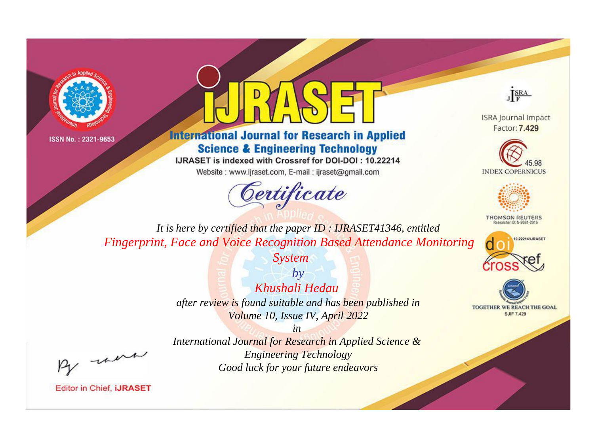



# **International Journal for Research in Applied Science & Engineering Technology**

IJRASET is indexed with Crossref for DOI-DOI: 10.22214

Website: www.ijraset.com, E-mail: ijraset@gmail.com





**ISRA Journal Impact** Factor: 7.429





**THOMSON REUTERS** 



TOGETHER WE REACH THE GOAL **SJIF 7.429** 

*It is here by certified that the paper ID : IJRASET41346, entitled Fingerprint, Face and Voice Recognition Based Attendance Monitoring* 

*System*

*by Khushali Hedau after review is found suitable and has been published in Volume 10, Issue IV, April 2022*

, were

*International Journal for Research in Applied Science & Engineering Technology Good luck for your future endeavors*

*in*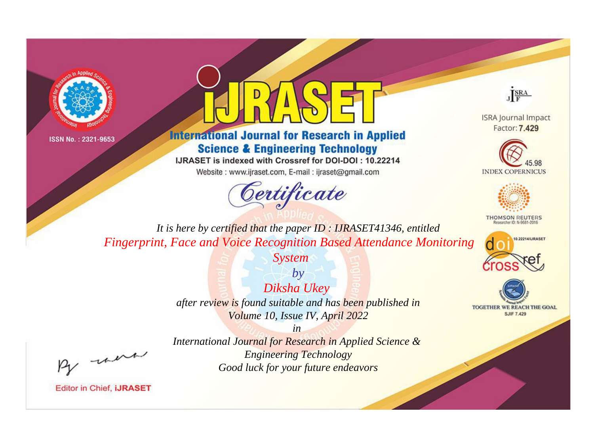



# **International Journal for Research in Applied Science & Engineering Technology**

IJRASET is indexed with Crossref for DOI-DOI: 10.22214

Website: www.ijraset.com, E-mail: ijraset@gmail.com





**ISRA Journal Impact** Factor: 7.429





**THOMSON REUTERS** 



TOGETHER WE REACH THE GOAL **SJIF 7.429** 

*It is here by certified that the paper ID : IJRASET41346, entitled Fingerprint, Face and Voice Recognition Based Attendance Monitoring* 

*System*

*by Diksha Ukey after review is found suitable and has been published in Volume 10, Issue IV, April 2022*

, un

*International Journal for Research in Applied Science & Engineering Technology Good luck for your future endeavors*

*in*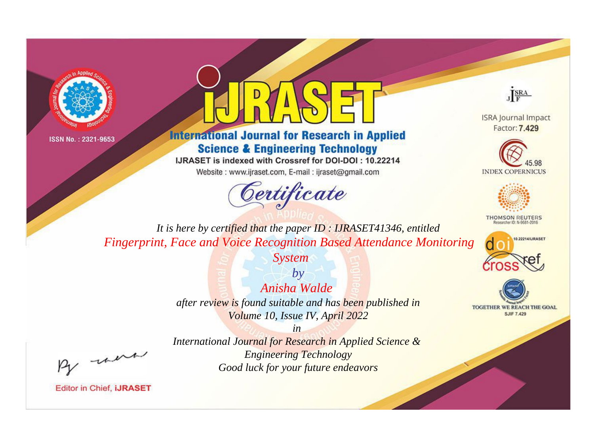



# **International Journal for Research in Applied Science & Engineering Technology**

IJRASET is indexed with Crossref for DOI-DOI : 10.22214

Website: www.ijraset.com, E-mail: ijraset@gmail.com



JERA

**ISRA Journal Impact** Factor: 7.429





**THOMSON REUTERS** 



TOGETHER WE REACH THE GOAL **SJIF 7.429** 

It is here by certified that the paper ID: IJRASET41346, entitled **Fingerprint, Face and Voice Recognition Based Attendance Monitoring** 

**System** 

 $b\nu$ Anisha Walde after review is found suitable and has been published in Volume 10, Issue IV, April 2022

-were

International Journal for Research in Applied Science & **Engineering Technology** Good luck for your future endeavors

 $in$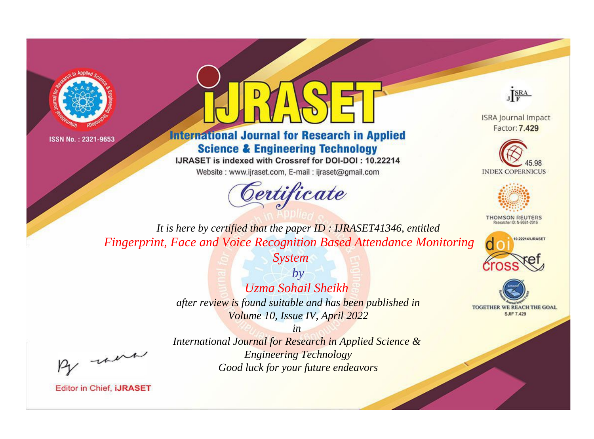



# **International Journal for Research in Applied Science & Engineering Technology**

IJRASET is indexed with Crossref for DOI-DOI: 10.22214

Website: www.ijraset.com, E-mail: ijraset@gmail.com





**ISRA Journal Impact** Factor: 7.429





**THOMSON REUTERS** 



TOGETHER WE REACH THE GOAL **SJIF 7.429** 

*It is here by certified that the paper ID : IJRASET41346, entitled Fingerprint, Face and Voice Recognition Based Attendance Monitoring* 

*System*

*by Uzma Sohail Sheikh after review is found suitable and has been published in Volume 10, Issue IV, April 2022*

, were

*International Journal for Research in Applied Science & Engineering Technology Good luck for your future endeavors*

*in*